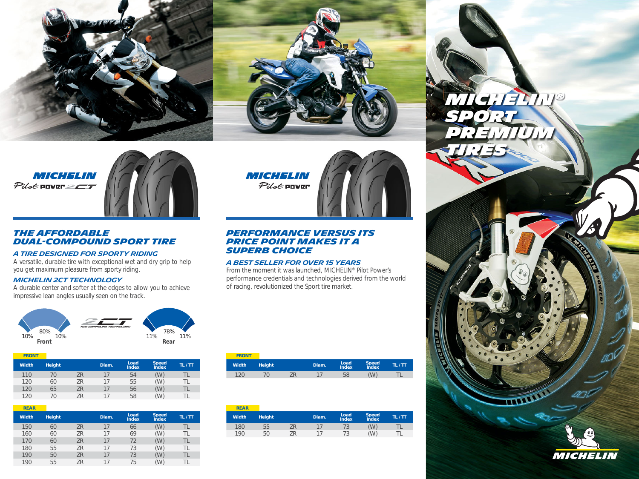

# **MICHELIN**  $P$ ilot power $=$  $T$



# **The affordable dual-compound sport tire**

# **A TIRE DESIGNED FOR SPORTY RIDING**

A versatile, durable tire with exceptional wet and dry grip to help you get maximum pleasure from sporty riding.

# **MICHELIN 2CT TECHNOLOGY**

A durable center and softer at the edges to allow you to achieve impressive lean angles usually seen on the track.



| <b>FRONT</b> |               |    |       |                      |                                     |       |
|--------------|---------------|----|-------|----------------------|-------------------------------------|-------|
| <b>Width</b> | <b>Height</b> |    | Diam. | Load<br><b>Index</b> | <b>Speed</b><br><i><b>Index</b></i> | TL/TT |
| 110          | 70            | ΖR | 17    | 54                   | W.                                  | TL    |
| 120          | 60            | ΖR | 17    | 55                   | (W)                                 | TL    |
| 120          | 65            | ΖR | 17    | 56                   | W.                                  | TL    |
| 120          | 70            | 7R | 17    | 58                   | (W)                                 | П     |

| <b>REAR</b>  |               |           |       |                      |                                     |       |
|--------------|---------------|-----------|-------|----------------------|-------------------------------------|-------|
| <b>Width</b> | <b>Height</b> |           | Diam. | Load<br><b>Index</b> | <b>Speed</b><br><i><b>Index</b></i> | TL/TT |
| 150          | 60            | ΖR        | 17    | 66                   | (W)                                 | TL    |
| 160          | 60            | ZR        | 17    | 69                   | (W)                                 | TL    |
| 170          | 60            | ΖR        | 17    | 72                   | (W)                                 | TL    |
| 180          | 55            | ZR        | 17    | 73                   | (W)                                 | TL    |
| 190          | 50            | <b>ZR</b> | 17    | 73                   | (W)                                 | TL    |
| 190          | 55            | ΖR        | 17    | 75                   | (W)                                 | TL    |

# **MICHELIN**

Pilot POWER



# **Performance versus its price point makes it a SUPERB CHOICE**

# **A BEST SELLER FOR OVER 15 YEARS**

From the moment it was launched, MICHELIN® Pilot Power's performance credentials and technologies derived from the world of racing, revolutionized the Sport tire market.

| <b>FRONT</b> |               |       |               |                |       |
|--------------|---------------|-------|---------------|----------------|-------|
| <b>Width</b> | <b>Height</b> | Diam. | Load<br>Index | Speed<br>Index | TL/TT |
| 120          |               |       | 58            | W              |       |

| <b>REAR</b>  |               |    |       |               |                |       |
|--------------|---------------|----|-------|---------------|----------------|-------|
| <b>Width</b> | <b>Height</b> |    | Diam. | Load<br>Index | Speed<br>Index | TL/TT |
| 180          | 55            | 7R |       |               | W,             |       |
| 190          | 50            | 7R |       | 72            | 'W)            |       |